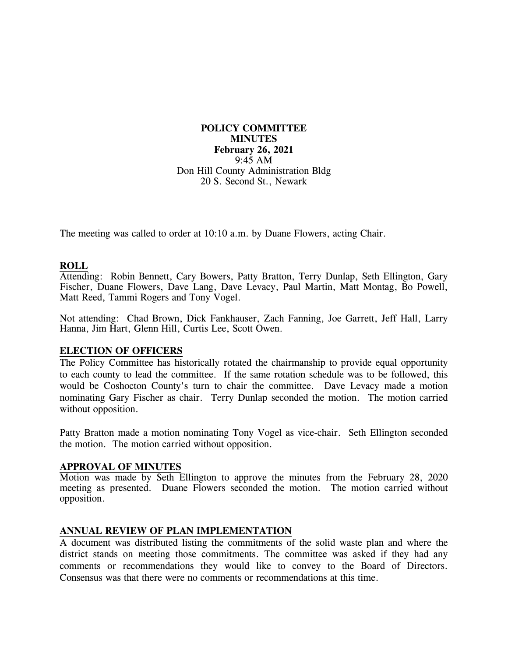**POLICY COMMITTEE MINUTES February 26, 2021** 9:45 AM Don Hill County Administration Bldg 20 S. Second St., Newark

The meeting was called to order at 10:10 a.m. by Duane Flowers, acting Chair.

### **ROLL**

Attending: Robin Bennett, Cary Bowers, Patty Bratton, Terry Dunlap, Seth Ellington, Gary Fischer, Duane Flowers, Dave Lang, Dave Levacy, Paul Martin, Matt Montag, Bo Powell, Matt Reed, Tammi Rogers and Tony Vogel.

Not attending: Chad Brown, Dick Fankhauser, Zach Fanning, Joe Garrett, Jeff Hall, Larry Hanna, Jim Hart, Glenn Hill, Curtis Lee, Scott Owen.

### **ELECTION OF OFFICERS**

The Policy Committee has historically rotated the chairmanship to provide equal opportunity to each county to lead the committee. If the same rotation schedule was to be followed, this would be Coshocton County's turn to chair the committee. Dave Levacy made a motion nominating Gary Fischer as chair. Terry Dunlap seconded the motion. The motion carried without opposition.

Patty Bratton made a motion nominating Tony Vogel as vice-chair. Seth Ellington seconded the motion. The motion carried without opposition.

#### **APPROVAL OF MINUTES**

Motion was made by Seth Ellington to approve the minutes from the February 28, 2020 meeting as presented. Duane Flowers seconded the motion. The motion carried without opposition.

### **ANNUAL REVIEW OF PLAN IMPLEMENTATION**

A document was distributed listing the commitments of the solid waste plan and where the district stands on meeting those commitments. The committee was asked if they had any comments or recommendations they would like to convey to the Board of Directors. Consensus was that there were no comments or recommendations at this time.